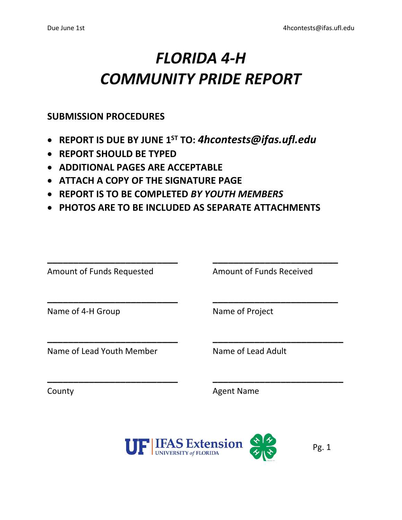# *FLORIDA 4-H COMMUNITY PRIDE REPORT*

#### **SUBMISSION PROCEDURES**

- **REPORT IS DUE BY JUNE 1ST TO:** *[4hcontests@ifas.ufl.edu](mailto:4hcontests@ifas.ufl.edu)*
- **REPORT SHOULD BE TYPED**
- **ADDITIONAL PAGES ARE ACCEPTABLE**
- **ATTACH A COPY OF THE SIGNATURE PAGE**
- **REPORT IS TO BE COMPLETED** *BY YOUTH MEMBERS*
- **PHOTOS ARE TO BE INCLUDED AS SEPARATE ATTACHMENTS**

| Name of Project    |
|--------------------|
| Name of Lead Adult |
|                    |

County **Agent Name** 

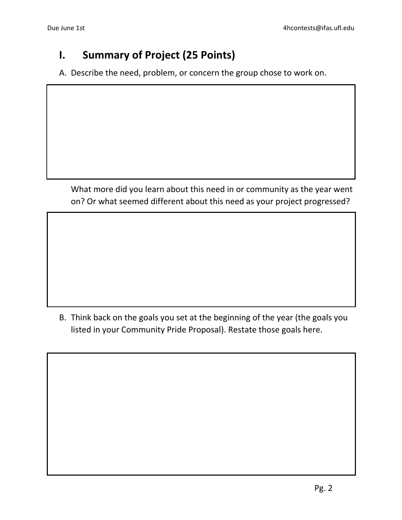#### **I. Summary of Project (25 Points)**

A. Describe the need, problem, or concern the group chose to work on.

What more did you learn about this need in or community as the year went on? Or what seemed different about this need as your project progressed?

B. Think back on the goals you set at the beginning of the year (the goals you listed in your Community Pride Proposal). Restate those goals here.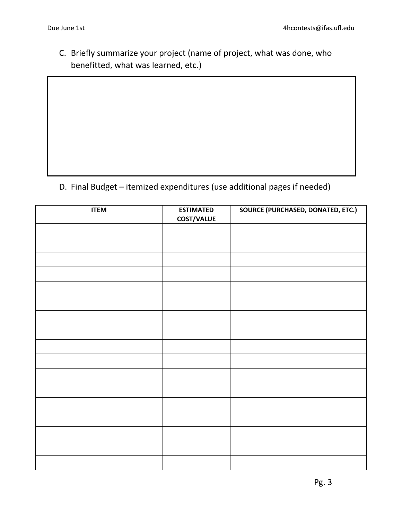C. Briefly summarize your project (name of project, what was done, who benefitted, what was learned, etc.)

D. Final Budget – itemized expenditures (use additional pages if needed)

| <b>ITEM</b> | <b>ESTIMATED</b><br>COST/VALUE | SOURCE (PURCHASED, DONATED, ETC.) |
|-------------|--------------------------------|-----------------------------------|
|             |                                |                                   |
|             |                                |                                   |
|             |                                |                                   |
|             |                                |                                   |
|             |                                |                                   |
|             |                                |                                   |
|             |                                |                                   |
|             |                                |                                   |
|             |                                |                                   |
|             |                                |                                   |
|             |                                |                                   |
|             |                                |                                   |
|             |                                |                                   |
|             |                                |                                   |
|             |                                |                                   |
|             |                                |                                   |
|             |                                |                                   |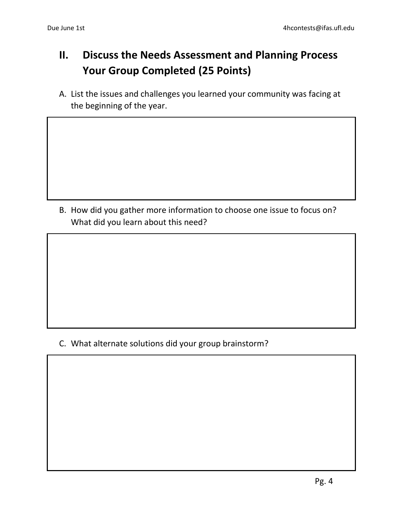### **II. Discuss the Needs Assessment and Planning Process Your Group Completed (25 Points)**

A. List the issues and challenges you learned your community was facing at the beginning of the year.

B. How did you gather more information to choose one issue to focus on? What did you learn about this need?

C. What alternate solutions did your group brainstorm?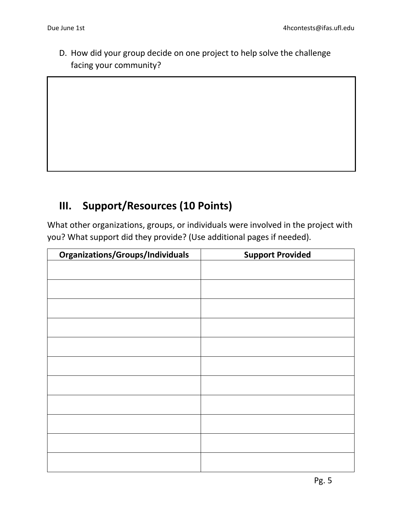D. How did your group decide on one project to help solve the challenge facing your community?

#### **III. Support/Resources (10 Points)**

What other organizations, groups, or individuals were involved in the project with you? What support did they provide? (Use additional pages if needed).

| Organizations/Groups/Individuals | <b>Support Provided</b> |
|----------------------------------|-------------------------|
|                                  |                         |
|                                  |                         |
|                                  |                         |
|                                  |                         |
|                                  |                         |
|                                  |                         |
|                                  |                         |
|                                  |                         |
|                                  |                         |
|                                  |                         |
|                                  |                         |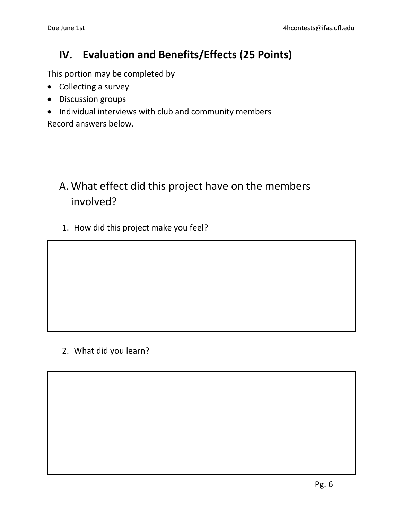#### **IV. Evaluation and Benefits/Effects (25 Points)**

This portion may be completed by

- Collecting a survey
- Discussion groups
- Individual interviews with club and community members

Record answers below.

#### A. What effect did this project have on the members involved?

1. How did this project make you feel?

2. What did you learn?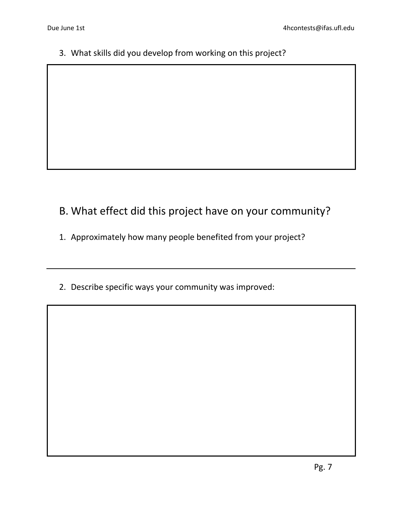3. What skills did you develop from working on this project?

#### B. What effect did this project have on your community?

- 1. Approximately how many people benefited from your project?
- 2. Describe specific ways your community was improved: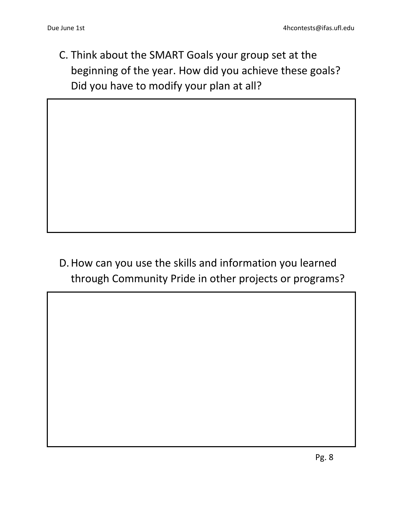C. Think about the SMART Goals your group set at the beginning of the year. How did you achieve these goals? Did you have to modify your plan at all?

## D.How can you use the skills and information you learned through Community Pride in other projects or programs?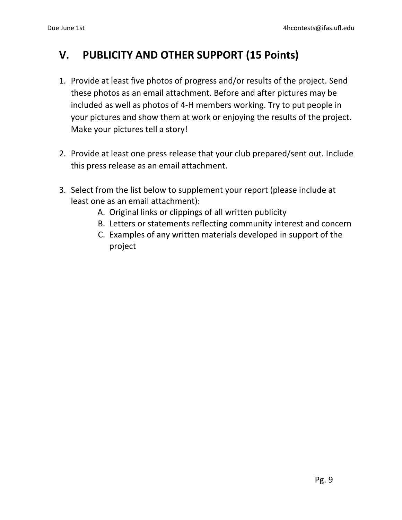#### **V. PUBLICITY AND OTHER SUPPORT (15 Points)**

- 1. Provide at least five photos of progress and/or results of the project. Send these photos as an email attachment. Before and after pictures may be included as well as photos of 4-H members working. Try to put people in your pictures and show them at work or enjoying the results of the project. Make your pictures tell a story!
- 2. Provide at least one press release that your club prepared/sent out. Include this press release as an email attachment.
- 3. Select from the list below to supplement your report (please include at least one as an email attachment):
	- A. Original links or clippings of all written publicity
	- B. Letters or statements reflecting community interest and concern
	- C. Examples of any written materials developed in support of the project